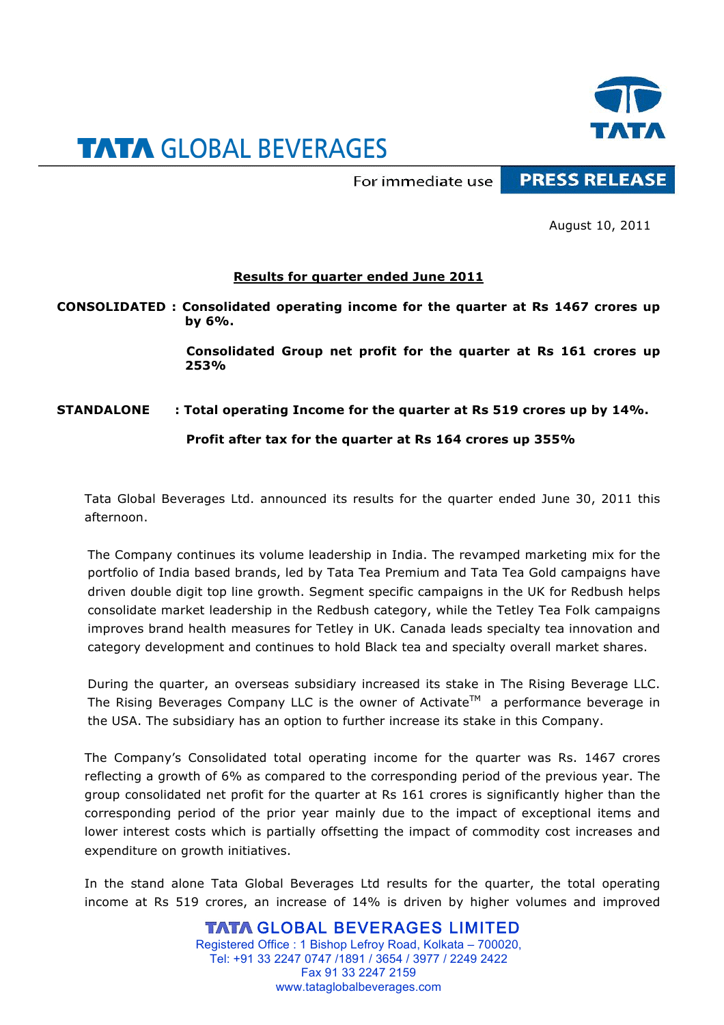

## **TATA GLOBAL BEVERAGES**

For immediate use

**PRESS RELEASE** 

August 10, 2011

## **Results for quarter ended June 2011**

**CONSOLIDATED : Consolidated operating income for the quarter at Rs 1467 crores up by 6%.**

> **Consolidated Group net profit for the quarter at Rs 161 crores up 253%**

## **STANDALONE : Total operating Income for the quarter at Rs 519 crores up by 14%.**

**Profit after tax for the quarter at Rs 164 crores up 355%**

Tata Global Beverages Ltd. announced its results for the quarter ended June 30, 2011 this afternoon.

The Company continues its volume leadership in India. The revamped marketing mix for the portfolio of India based brands, led by Tata Tea Premium and Tata Tea Gold campaigns have driven double digit top line growth. Segment specific campaigns in the UK for Redbush helps consolidate market leadership in the Redbush category, while the Tetley Tea Folk campaigns improves brand health measures for Tetley in UK. Canada leads specialty tea innovation and category development and continues to hold Black tea and specialty overall market shares.

During the quarter, an overseas subsidiary increased its stake in The Rising Beverage LLC. The Rising Beverages Company LLC is the owner of Activate<sup>TM</sup> a performance beverage in the USA. The subsidiary has an option to further increase its stake in this Company.

The Company's Consolidated total operating income for the quarter was Rs. 1467 crores reflecting a growth of 6% as compared to the corresponding period of the previous year. The group consolidated net profit for the quarter at Rs 161 crores is significantly higher than the corresponding period of the prior year mainly due to the impact of exceptional items and lower interest costs which is partially offsetting the impact of commodity cost increases and expenditure on growth initiatives.

In the stand alone Tata Global Beverages Ltd results for the quarter, the total operating income at Rs 519 crores, an increase of 14% is driven by higher volumes and improved

> **TATA GLOBAL BEVERAGES LIMITED** Registered Office : 1 Bishop Lefroy Road, Kolkata – 700020, Tel: +91 33 2247 0747 /1891 / 3654 / 3977 / 2249 2422 Fax 91 33 2247 2159 www.tataglobalbeverages.com